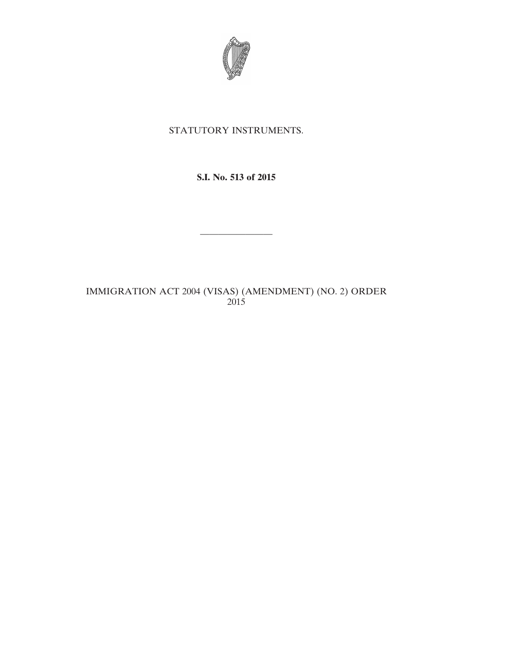

## STATUTORY INSTRUMENTS.

## **S.I. No. 513 of 2015**

————————

IMMIGRATION ACT 2004 (VISAS) (AMENDMENT) (NO. 2) ORDER 2015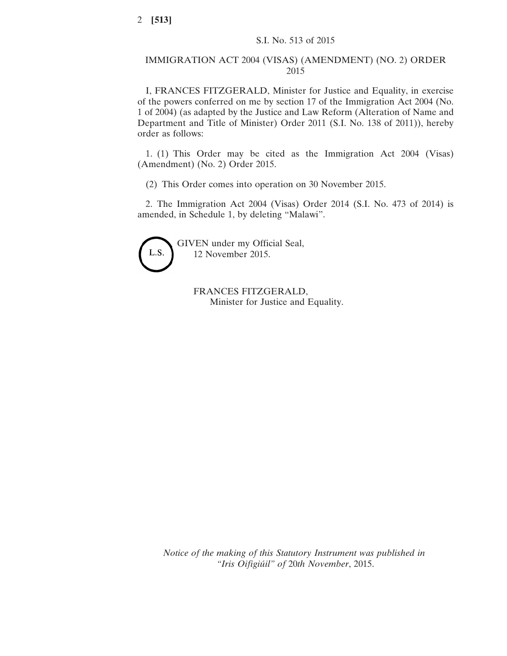## IMMIGRATION ACT 2004 (VISAS) (AMENDMENT) (NO. 2) ORDER 2015

I, FRANCES FITZGERALD, Minister for Justice and Equality, in exercise of the powers conferred on me by section 17 of the Immigration Act 2004 (No. 1 of 2004) (as adapted by the Justice and Law Reform (Alteration of Name and Department and Title of Minister) Order 2011 (S.I. No. 138 of 2011)), hereby order as follows:

1. (1) This Order may be cited as the Immigration Act 2004 (Visas) (Amendment) (No. 2) Order 2015.

(2) This Order comes into operation on 30 November 2015.

2. The Immigration Act 2004 (Visas) Order 2014 (S.I. No. 473 of 2014) is amended, in Schedule 1, by deleting "Malawi".

L.S.

GIVEN under my Official Seal, 12 November 2015.

> FRANCES FITZGERALD, Minister for Justice and Equality.

*Notice of the making of this Statutory Instrument was published in "Iris Oifigiúil" of* 20*th November*, 2015.